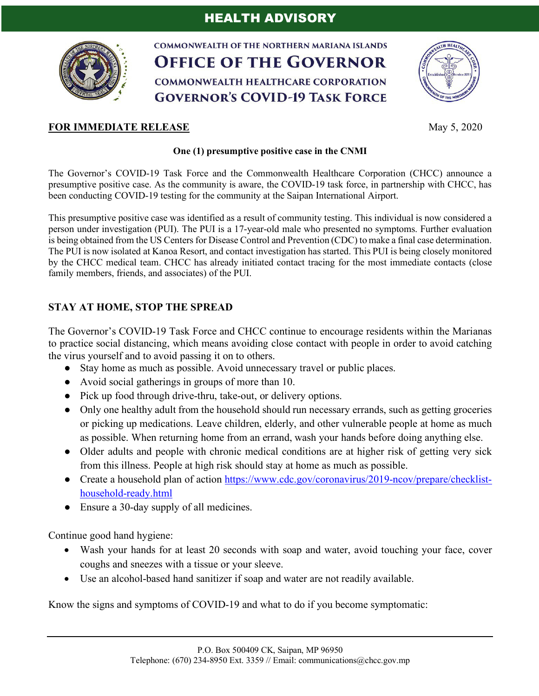

**COMMONWEALTH OF THE NORTHERN MARIANA ISLANDS OFFICE OF THE GOVERNOR COMMONWEALTH HEALTHCARE CORPORATION GOVERNOR'S COVID-19 TASK FORCE** 



## **FOR IMMEDIATE RELEASE** May 5, 2020

## **One (1) presumptive positive case in the CNMI**

The Governor's COVID-19 Task Force and the Commonwealth Healthcare Corporation (CHCC) announce a presumptive positive case. As the community is aware, the COVID-19 task force, in partnership with CHCC, has been conducting COVID-19 testing for the community at the Saipan International Airport.

This presumptive positive case was identified as a result of community testing. This individual is now considered a person under investigation (PUI). The PUI is a 17-year-old male who presented no symptoms. Further evaluation is being obtained from the US Centers for Disease Control and Prevention (CDC) to make a final case determination. The PUI is now isolated at Kanoa Resort, and contact investigation has started. This PUI is being closely monitored by the CHCC medical team. CHCC has already initiated contact tracing for the most immediate contacts (close family members, friends, and associates) of the PUI.

## **STAY AT HOME, STOP THE SPREAD**

The Governor's COVID-19 Task Force and CHCC continue to encourage residents within the Marianas to practice social distancing, which means avoiding close contact with people in order to avoid catching the virus yourself and to avoid passing it on to others.

- Stay home as much as possible. Avoid unnecessary travel or public places.
- Avoid social gatherings in groups of more than 10.
- Pick up food through drive-thru, take-out, or delivery options.
- Only one healthy adult from the household should run necessary errands, such as getting groceries or picking up medications. Leave children, elderly, and other vulnerable people at home as much as possible. When returning home from an errand, wash your hands before doing anything else.
- Older adults and people with chronic medical conditions are at higher risk of getting very sick from this illness. People at high risk should stay at home as much as possible.
- Create a household plan of action https://www.cdc.gov/coronavirus/2019-ncov/prepare/checklisthousehold-ready.html
- Ensure a 30-day supply of all medicines.

Continue good hand hygiene:

- Wash your hands for at least 20 seconds with soap and water, avoid touching your face, cover coughs and sneezes with a tissue or your sleeve.
- Use an alcohol-based hand sanitizer if soap and water are not readily available.

Know the signs and symptoms of COVID-19 and what to do if you become symptomatic: